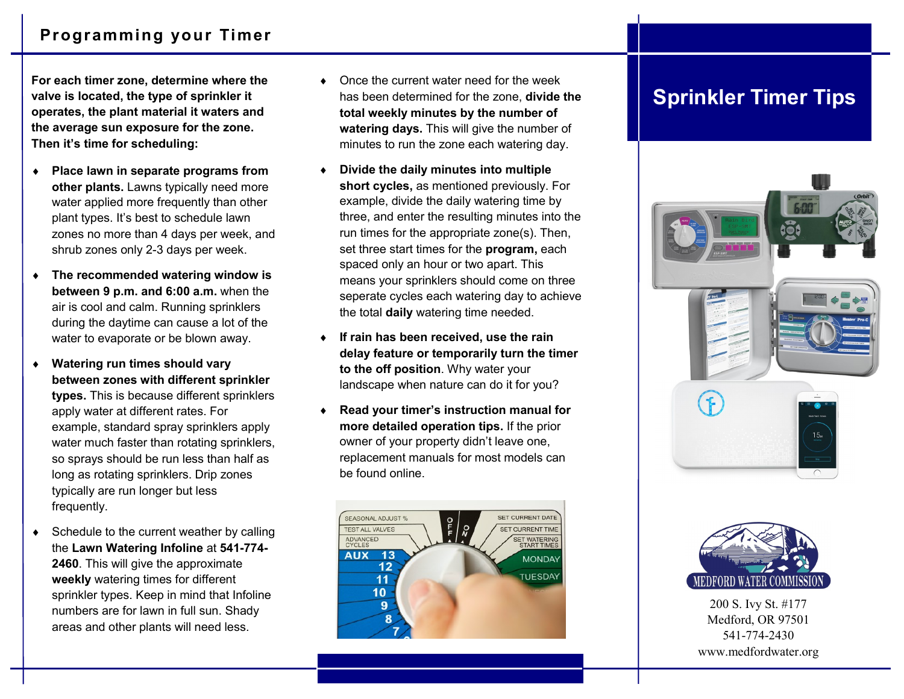**For each timer zone, determine where the valve is located, the type of sprinkler it operates, the plant material it waters and the average sun exposure for the zone. Then it's time for scheduling:**

- **Place lawn in separate programs from other plants.** Lawns typically need more water applied more frequently than other plant types. It's best to schedule lawn zones no more than 4 days per week, and shrub zones only 2-3 days per week.
- **The recommended watering window is between 9 p.m. and 6:00 a.m.** when the air is cool and calm. Running sprinklers during the daytime can cause a lot of the water to evaporate or be blown away.
- **Watering run times should vary between zones with different sprinkler types.** This is because different sprinklers apply water at different rates. For example, standard spray sprinklers apply water much faster than rotating sprinklers, so sprays should be run less than half as long as rotating sprinklers. Drip zones typically are run longer but less frequently.
- $\bullet$  Schedule to the current weather by calling the **Lawn Watering Infoline** at **541-774- 2460**. This will give the approximate **weekly** watering times for different sprinkler types. Keep in mind that Infoline numbers are for lawn in full sun. Shady areas and other plants will need less.
- Once the current water need for the week has been determined for the zone, **divide the total weekly minutes by the number of watering days.** This will give the number of minutes to run the zone each watering day.
- **Divide the daily minutes into multiple short cycles,** as mentioned previously. For example, divide the daily watering time by three, and enter the resulting minutes into the run times for the appropriate zone(s). Then, set three start times for the **program,** each spaced only an hour or two apart. This means your sprinklers should come on three seperate cycles each watering day to achieve the total **daily** watering time needed.
- **If rain has been received, use the rain delay feature or temporarily turn the timer to the off position**. Why water your landscape when nature can do it for you?
- **Read your timer's instruction manual for more detailed operation tips.** If the prior owner of your property didn't leave one, replacement manuals for most models can be found online.



## **Sprinkler Timer Tips**





200 S. Ivy St. #177 Medford, OR 97501 541-774-2430 www.medfordwater.org